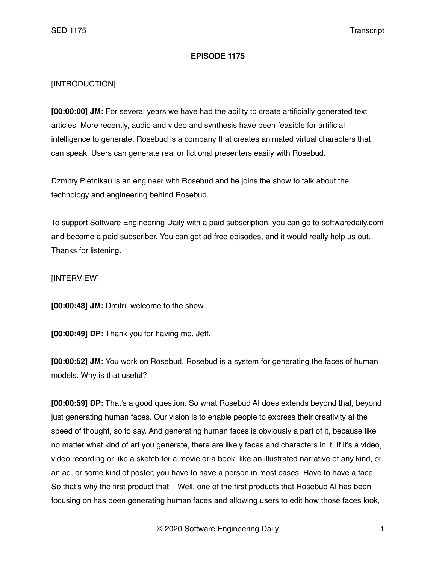## **EPISODE 1175**

## [INTRODUCTION]

**[00:00:00] JM:** For several years we have had the ability to create artificially generated text articles. More recently, audio and video and synthesis have been feasible for artificial intelligence to generate. Rosebud is a company that creates animated virtual characters that can speak. Users can generate real or fictional presenters easily with Rosebud.

Dzmitry Pletnikau is an engineer with Rosebud and he joins the show to talk about the technology and engineering behind Rosebud.

To support Software Engineering Daily with a paid subscription, you can go to softwaredaily.com and become a paid subscriber. You can get ad free episodes, and it would really help us out. Thanks for listening.

## [INTERVIEW]

**[00:00:48] JM:** Dmitri, welcome to the show.

**[00:00:49] DP:** Thank you for having me, Jeff.

**[00:00:52] JM:** You work on Rosebud. Rosebud is a system for generating the faces of human models. Why is that useful?

**[00:00:59] DP:** That's a good question. So what Rosebud AI does extends beyond that, beyond just generating human faces. Our vision is to enable people to express their creativity at the speed of thought, so to say. And generating human faces is obviously a part of it, because like no matter what kind of art you generate, there are likely faces and characters in it. If it's a video, video recording or like a sketch for a movie or a book, like an illustrated narrative of any kind, or an ad, or some kind of poster, you have to have a person in most cases. Have to have a face. So that's why the first product that – Well, one of the first products that Rosebud AI has been focusing on has been generating human faces and allowing users to edit how those faces look,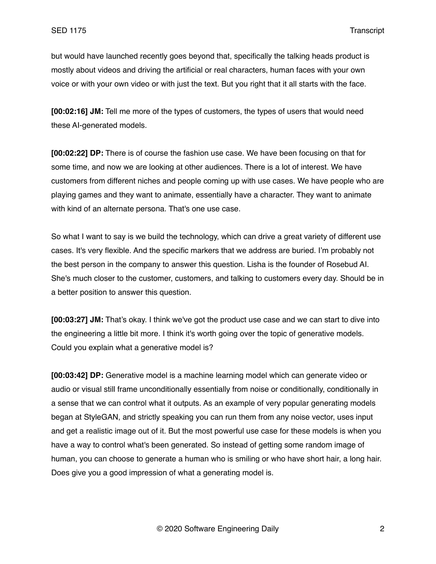but would have launched recently goes beyond that, specifically the talking heads product is mostly about videos and driving the artificial or real characters, human faces with your own voice or with your own video or with just the text. But you right that it all starts with the face.

**[00:02:16] JM:** Tell me more of the types of customers, the types of users that would need these AI-generated models.

**[00:02:22] DP:** There is of course the fashion use case. We have been focusing on that for some time, and now we are looking at other audiences. There is a lot of interest. We have customers from different niches and people coming up with use cases. We have people who are playing games and they want to animate, essentially have a character. They want to animate with kind of an alternate persona. That's one use case.

So what I want to say is we build the technology, which can drive a great variety of different use cases. It's very flexible. And the specific markers that we address are buried. I'm probably not the best person in the company to answer this question. Lisha is the founder of Rosebud AI. She's much closer to the customer, customers, and talking to customers every day. Should be in a better position to answer this question.

**[00:03:27] JM:** That's okay. I think we've got the product use case and we can start to dive into the engineering a little bit more. I think it's worth going over the topic of generative models. Could you explain what a generative model is?

**[00:03:42] DP:** Generative model is a machine learning model which can generate video or audio or visual still frame unconditionally essentially from noise or conditionally, conditionally in a sense that we can control what it outputs. As an example of very popular generating models began at StyleGAN, and strictly speaking you can run them from any noise vector, uses input and get a realistic image out of it. But the most powerful use case for these models is when you have a way to control what's been generated. So instead of getting some random image of human, you can choose to generate a human who is smiling or who have short hair, a long hair. Does give you a good impression of what a generating model is.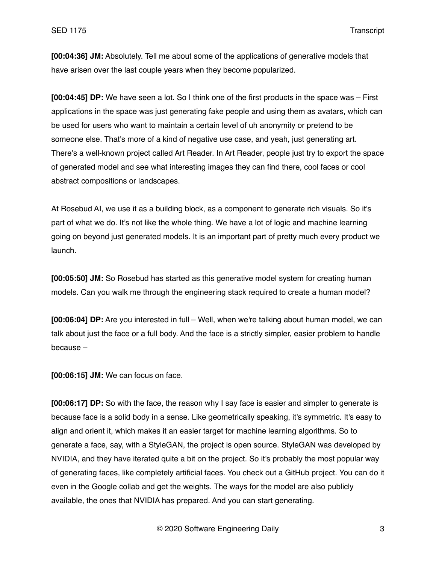**[00:04:36] JM:** Absolutely. Tell me about some of the applications of generative models that have arisen over the last couple years when they become popularized.

**[00:04:45] DP:** We have seen a lot. So I think one of the first products in the space was – First applications in the space was just generating fake people and using them as avatars, which can be used for users who want to maintain a certain level of uh anonymity or pretend to be someone else. That's more of a kind of negative use case, and yeah, just generating art. There's a well-known project called Art Reader. In Art Reader, people just try to export the space of generated model and see what interesting images they can find there, cool faces or cool abstract compositions or landscapes.

At Rosebud AI, we use it as a building block, as a component to generate rich visuals. So it's part of what we do. It's not like the whole thing. We have a lot of logic and machine learning going on beyond just generated models. It is an important part of pretty much every product we launch.

**[00:05:50] JM:** So Rosebud has started as this generative model system for creating human models. Can you walk me through the engineering stack required to create a human model?

**[00:06:04] DP:** Are you interested in full – Well, when we're talking about human model, we can talk about just the face or a full body. And the face is a strictly simpler, easier problem to handle because –

**[00:06:15] JM:** We can focus on face.

**[00:06:17] DP:** So with the face, the reason why I say face is easier and simpler to generate is because face is a solid body in a sense. Like geometrically speaking, it's symmetric. It's easy to align and orient it, which makes it an easier target for machine learning algorithms. So to generate a face, say, with a StyleGAN, the project is open source. StyleGAN was developed by NVIDIA, and they have iterated quite a bit on the project. So it's probably the most popular way of generating faces, like completely artificial faces. You check out a GitHub project. You can do it even in the Google collab and get the weights. The ways for the model are also publicly available, the ones that NVIDIA has prepared. And you can start generating.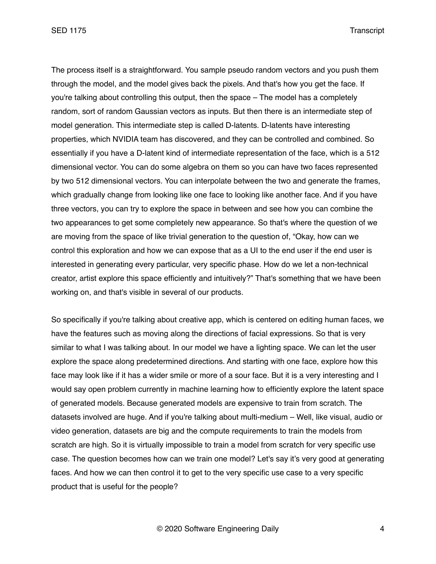The process itself is a straightforward. You sample pseudo random vectors and you push them through the model, and the model gives back the pixels. And that's how you get the face. If you're talking about controlling this output, then the space – The model has a completely random, sort of random Gaussian vectors as inputs. But then there is an intermediate step of model generation. This intermediate step is called D-latents. D-latents have interesting properties, which NVIDIA team has discovered, and they can be controlled and combined. So essentially if you have a D-latent kind of intermediate representation of the face, which is a 512 dimensional vector. You can do some algebra on them so you can have two faces represented by two 512 dimensional vectors. You can interpolate between the two and generate the frames, which gradually change from looking like one face to looking like another face. And if you have three vectors, you can try to explore the space in between and see how you can combine the two appearances to get some completely new appearance. So that's where the question of we are moving from the space of like trivial generation to the question of, "Okay, how can we control this exploration and how we can expose that as a UI to the end user if the end user is interested in generating every particular, very specific phase. How do we let a non-technical creator, artist explore this space efficiently and intuitively?" That's something that we have been working on, and that's visible in several of our products.

So specifically if you're talking about creative app, which is centered on editing human faces, we have the features such as moving along the directions of facial expressions. So that is very similar to what I was talking about. In our model we have a lighting space. We can let the user explore the space along predetermined directions. And starting with one face, explore how this face may look like if it has a wider smile or more of a sour face. But it is a very interesting and I would say open problem currently in machine learning how to efficiently explore the latent space of generated models. Because generated models are expensive to train from scratch. The datasets involved are huge. And if you're talking about multi-medium – Well, like visual, audio or video generation, datasets are big and the compute requirements to train the models from scratch are high. So it is virtually impossible to train a model from scratch for very specific use case. The question becomes how can we train one model? Let's say it's very good at generating faces. And how we can then control it to get to the very specific use case to a very specific product that is useful for the people?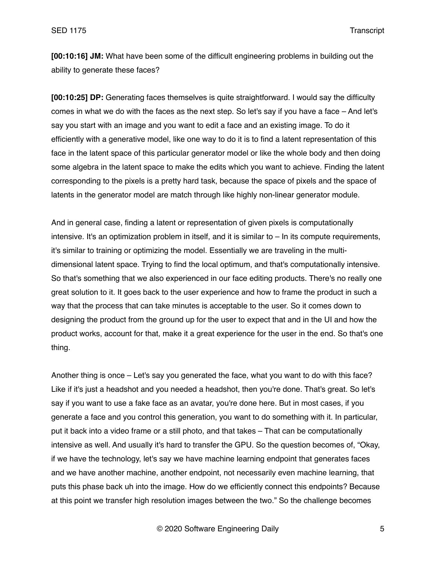**[00:10:16] JM:** What have been some of the difficult engineering problems in building out the ability to generate these faces?

**[00:10:25] DP:** Generating faces themselves is quite straightforward. I would say the difficulty comes in what we do with the faces as the next step. So let's say if you have a face – And let's say you start with an image and you want to edit a face and an existing image. To do it efficiently with a generative model, like one way to do it is to find a latent representation of this face in the latent space of this particular generator model or like the whole body and then doing some algebra in the latent space to make the edits which you want to achieve. Finding the latent corresponding to the pixels is a pretty hard task, because the space of pixels and the space of latents in the generator model are match through like highly non-linear generator module.

And in general case, finding a latent or representation of given pixels is computationally intensive. It's an optimization problem in itself, and it is similar to – In its compute requirements, it's similar to training or optimizing the model. Essentially we are traveling in the multidimensional latent space. Trying to find the local optimum, and that's computationally intensive. So that's something that we also experienced in our face editing products. There's no really one great solution to it. It goes back to the user experience and how to frame the product in such a way that the process that can take minutes is acceptable to the user. So it comes down to designing the product from the ground up for the user to expect that and in the UI and how the product works, account for that, make it a great experience for the user in the end. So that's one thing.

Another thing is once – Let's say you generated the face, what you want to do with this face? Like if it's just a headshot and you needed a headshot, then you're done. That's great. So let's say if you want to use a fake face as an avatar, you're done here. But in most cases, if you generate a face and you control this generation, you want to do something with it. In particular, put it back into a video frame or a still photo, and that takes – That can be computationally intensive as well. And usually it's hard to transfer the GPU. So the question becomes of, "Okay, if we have the technology, let's say we have machine learning endpoint that generates faces and we have another machine, another endpoint, not necessarily even machine learning, that puts this phase back uh into the image. How do we efficiently connect this endpoints? Because at this point we transfer high resolution images between the two." So the challenge becomes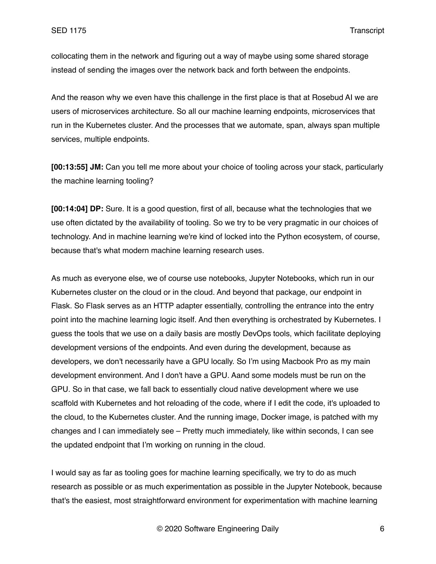collocating them in the network and figuring out a way of maybe using some shared storage instead of sending the images over the network back and forth between the endpoints.

And the reason why we even have this challenge in the first place is that at Rosebud AI we are users of microservices architecture. So all our machine learning endpoints, microservices that run in the Kubernetes cluster. And the processes that we automate, span, always span multiple services, multiple endpoints.

**[00:13:55] JM:** Can you tell me more about your choice of tooling across your stack, particularly the machine learning tooling?

**[00:14:04] DP:** Sure. It is a good question, first of all, because what the technologies that we use often dictated by the availability of tooling. So we try to be very pragmatic in our choices of technology. And in machine learning we're kind of locked into the Python ecosystem, of course, because that's what modern machine learning research uses.

As much as everyone else, we of course use notebooks, Jupyter Notebooks, which run in our Kubernetes cluster on the cloud or in the cloud. And beyond that package, our endpoint in Flask. So Flask serves as an HTTP adapter essentially, controlling the entrance into the entry point into the machine learning logic itself. And then everything is orchestrated by Kubernetes. I guess the tools that we use on a daily basis are mostly DevOps tools, which facilitate deploying development versions of the endpoints. And even during the development, because as developers, we don't necessarily have a GPU locally. So I'm using Macbook Pro as my main development environment. And I don't have a GPU. Aand some models must be run on the GPU. So in that case, we fall back to essentially cloud native development where we use scaffold with Kubernetes and hot reloading of the code, where if I edit the code, it's uploaded to the cloud, to the Kubernetes cluster. And the running image, Docker image, is patched with my changes and I can immediately see – Pretty much immediately, like within seconds, I can see the updated endpoint that I'm working on running in the cloud.

I would say as far as tooling goes for machine learning specifically, we try to do as much research as possible or as much experimentation as possible in the Jupyter Notebook, because that's the easiest, most straightforward environment for experimentation with machine learning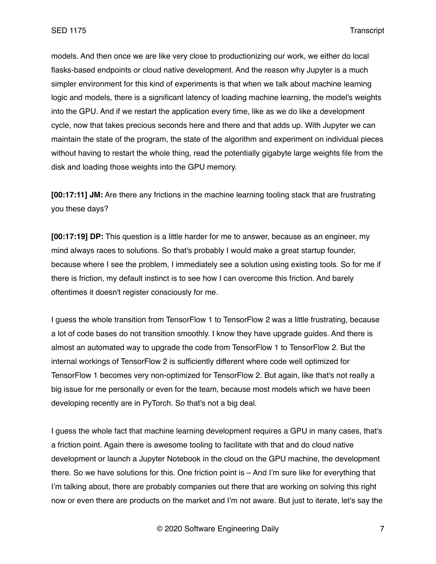models. And then once we are like very close to productionizing our work, we either do local flasks-based endpoints or cloud native development. And the reason why Jupyter is a much simpler environment for this kind of experiments is that when we talk about machine learning logic and models, there is a significant latency of loading machine learning, the model's weights into the GPU. And if we restart the application every time, like as we do like a development cycle, now that takes precious seconds here and there and that adds up. With Jupyter we can maintain the state of the program, the state of the algorithm and experiment on individual pieces without having to restart the whole thing, read the potentially gigabyte large weights file from the disk and loading those weights into the GPU memory.

**[00:17:11] JM:** Are there any frictions in the machine learning tooling stack that are frustrating you these days?

**[00:17:19] DP:** This question is a little harder for me to answer, because as an engineer, my mind always races to solutions. So that's probably I would make a great startup founder, because where I see the problem, I immediately see a solution using existing tools. So for me if there is friction, my default instinct is to see how I can overcome this friction. And barely oftentimes it doesn't register consciously for me.

I guess the whole transition from TensorFlow 1 to TensorFlow 2 was a little frustrating, because a lot of code bases do not transition smoothly. I know they have upgrade guides. And there is almost an automated way to upgrade the code from TensorFlow 1 to TensorFlow 2. But the internal workings of TensorFlow 2 is sufficiently different where code well optimized for TensorFlow 1 becomes very non-optimized for TensorFlow 2. But again, like that's not really a big issue for me personally or even for the team, because most models which we have been developing recently are in PyTorch. So that's not a big deal.

I guess the whole fact that machine learning development requires a GPU in many cases, that's a friction point. Again there is awesome tooling to facilitate with that and do cloud native development or launch a Jupyter Notebook in the cloud on the GPU machine, the development there. So we have solutions for this. One friction point is – And I'm sure like for everything that I'm talking about, there are probably companies out there that are working on solving this right now or even there are products on the market and I'm not aware. But just to iterate, let's say the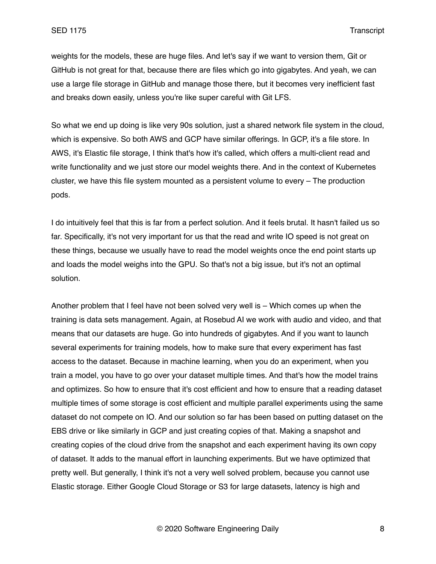weights for the models, these are huge files. And let's say if we want to version them, Git or GitHub is not great for that, because there are files which go into gigabytes. And yeah, we can use a large file storage in GitHub and manage those there, but it becomes very inefficient fast and breaks down easily, unless you're like super careful with Git LFS.

So what we end up doing is like very 90s solution, just a shared network file system in the cloud, which is expensive. So both AWS and GCP have similar offerings. In GCP, it's a file store. In AWS, it's Elastic file storage, I think that's how it's called, which offers a multi-client read and write functionality and we just store our model weights there. And in the context of Kubernetes cluster, we have this file system mounted as a persistent volume to every – The production pods.

I do intuitively feel that this is far from a perfect solution. And it feels brutal. It hasn't failed us so far. Specifically, it's not very important for us that the read and write IO speed is not great on these things, because we usually have to read the model weights once the end point starts up and loads the model weighs into the GPU. So that's not a big issue, but it's not an optimal solution.

Another problem that I feel have not been solved very well is – Which comes up when the training is data sets management. Again, at Rosebud AI we work with audio and video, and that means that our datasets are huge. Go into hundreds of gigabytes. And if you want to launch several experiments for training models, how to make sure that every experiment has fast access to the dataset. Because in machine learning, when you do an experiment, when you train a model, you have to go over your dataset multiple times. And that's how the model trains and optimizes. So how to ensure that it's cost efficient and how to ensure that a reading dataset multiple times of some storage is cost efficient and multiple parallel experiments using the same dataset do not compete on IO. And our solution so far has been based on putting dataset on the EBS drive or like similarly in GCP and just creating copies of that. Making a snapshot and creating copies of the cloud drive from the snapshot and each experiment having its own copy of dataset. It adds to the manual effort in launching experiments. But we have optimized that pretty well. But generally, I think it's not a very well solved problem, because you cannot use Elastic storage. Either Google Cloud Storage or S3 for large datasets, latency is high and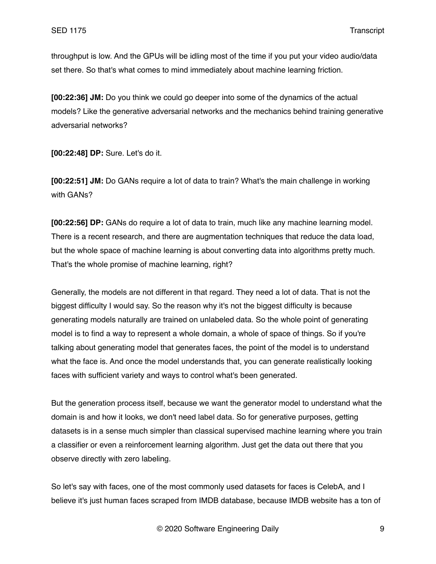throughput is low. And the GPUs will be idling most of the time if you put your video audio/data set there. So that's what comes to mind immediately about machine learning friction.

**[00:22:36] JM:** Do you think we could go deeper into some of the dynamics of the actual models? Like the generative adversarial networks and the mechanics behind training generative adversarial networks?

**[00:22:48] DP:** Sure. Let's do it.

**[00:22:51] JM:** Do GANs require a lot of data to train? What's the main challenge in working with GANs?

**[00:22:56] DP:** GANs do require a lot of data to train, much like any machine learning model. There is a recent research, and there are augmentation techniques that reduce the data load, but the whole space of machine learning is about converting data into algorithms pretty much. That's the whole promise of machine learning, right?

Generally, the models are not different in that regard. They need a lot of data. That is not the biggest difficulty I would say. So the reason why it's not the biggest difficulty is because generating models naturally are trained on unlabeled data. So the whole point of generating model is to find a way to represent a whole domain, a whole of space of things. So if you're talking about generating model that generates faces, the point of the model is to understand what the face is. And once the model understands that, you can generate realistically looking faces with sufficient variety and ways to control what's been generated.

But the generation process itself, because we want the generator model to understand what the domain is and how it looks, we don't need label data. So for generative purposes, getting datasets is in a sense much simpler than classical supervised machine learning where you train a classifier or even a reinforcement learning algorithm. Just get the data out there that you observe directly with zero labeling.

So let's say with faces, one of the most commonly used datasets for faces is CelebA, and I believe it's just human faces scraped from IMDB database, because IMDB website has a ton of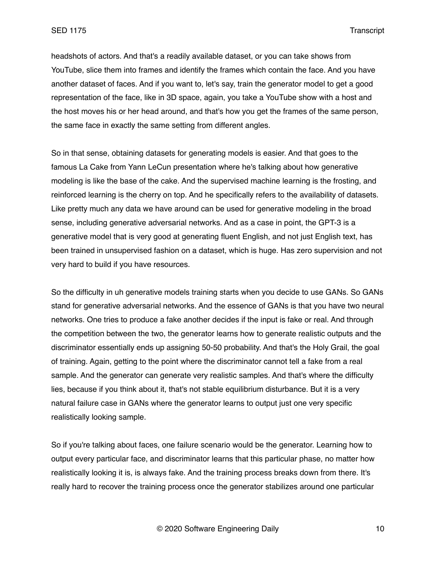headshots of actors. And that's a readily available dataset, or you can take shows from YouTube, slice them into frames and identify the frames which contain the face. And you have another dataset of faces. And if you want to, let's say, train the generator model to get a good representation of the face, like in 3D space, again, you take a YouTube show with a host and the host moves his or her head around, and that's how you get the frames of the same person, the same face in exactly the same setting from different angles.

So in that sense, obtaining datasets for generating models is easier. And that goes to the famous La Cake from Yann LeCun presentation where he's talking about how generative modeling is like the base of the cake. And the supervised machine learning is the frosting, and reinforced learning is the cherry on top. And he specifically refers to the availability of datasets. Like pretty much any data we have around can be used for generative modeling in the broad sense, including generative adversarial networks. And as a case in point, the GPT-3 is a generative model that is very good at generating fluent English, and not just English text, has been trained in unsupervised fashion on a dataset, which is huge. Has zero supervision and not very hard to build if you have resources.

So the difficulty in uh generative models training starts when you decide to use GANs. So GANs stand for generative adversarial networks. And the essence of GANs is that you have two neural networks. One tries to produce a fake another decides if the input is fake or real. And through the competition between the two, the generator learns how to generate realistic outputs and the discriminator essentially ends up assigning 50-50 probability. And that's the Holy Grail, the goal of training. Again, getting to the point where the discriminator cannot tell a fake from a real sample. And the generator can generate very realistic samples. And that's where the difficulty lies, because if you think about it, that's not stable equilibrium disturbance. But it is a very natural failure case in GANs where the generator learns to output just one very specific realistically looking sample.

So if you're talking about faces, one failure scenario would be the generator. Learning how to output every particular face, and discriminator learns that this particular phase, no matter how realistically looking it is, is always fake. And the training process breaks down from there. It's really hard to recover the training process once the generator stabilizes around one particular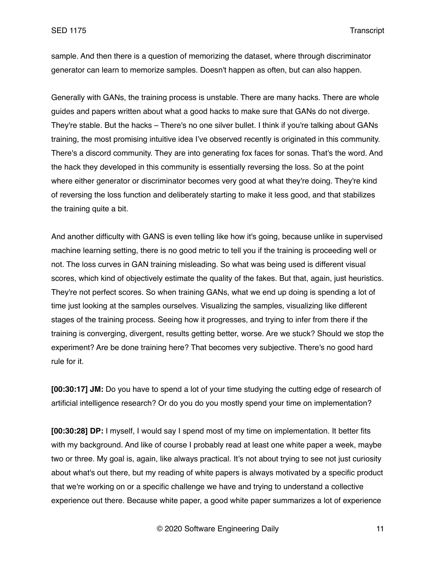sample. And then there is a question of memorizing the dataset, where through discriminator generator can learn to memorize samples. Doesn't happen as often, but can also happen.

Generally with GANs, the training process is unstable. There are many hacks. There are whole guides and papers written about what a good hacks to make sure that GANs do not diverge. They're stable. But the hacks – There's no one silver bullet. I think if you're talking about GANs training, the most promising intuitive idea I've observed recently is originated in this community. There's a discord community. They are into generating fox faces for sonas. That's the word. And the hack they developed in this community is essentially reversing the loss. So at the point where either generator or discriminator becomes very good at what they're doing. They're kind of reversing the loss function and deliberately starting to make it less good, and that stabilizes the training quite a bit.

And another difficulty with GANS is even telling like how it's going, because unlike in supervised machine learning setting, there is no good metric to tell you if the training is proceeding well or not. The loss curves in GAN training misleading. So what was being used is different visual scores, which kind of objectively estimate the quality of the fakes. But that, again, just heuristics. They're not perfect scores. So when training GANs, what we end up doing is spending a lot of time just looking at the samples ourselves. Visualizing the samples, visualizing like different stages of the training process. Seeing how it progresses, and trying to infer from there if the training is converging, divergent, results getting better, worse. Are we stuck? Should we stop the experiment? Are be done training here? That becomes very subjective. There's no good hard rule for it.

**[00:30:17] JM:** Do you have to spend a lot of your time studying the cutting edge of research of artificial intelligence research? Or do you do you mostly spend your time on implementation?

**[00:30:28] DP:** I myself, I would say I spend most of my time on implementation. It better fits with my background. And like of course I probably read at least one white paper a week, maybe two or three. My goal is, again, like always practical. It's not about trying to see not just curiosity about what's out there, but my reading of white papers is always motivated by a specific product that we're working on or a specific challenge we have and trying to understand a collective experience out there. Because white paper, a good white paper summarizes a lot of experience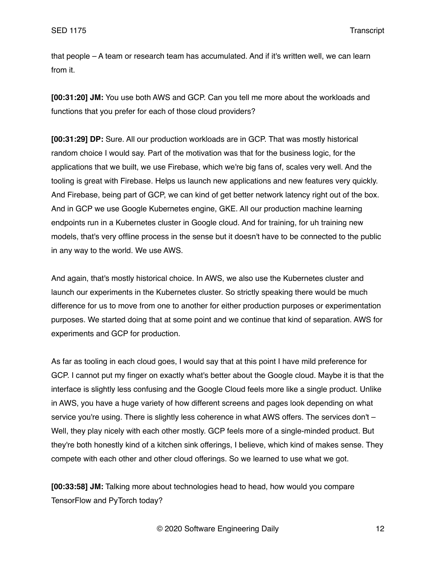that people – A team or research team has accumulated. And if it's written well, we can learn from it.

**[00:31:20] JM:** You use both AWS and GCP. Can you tell me more about the workloads and functions that you prefer for each of those cloud providers?

**[00:31:29] DP:** Sure. All our production workloads are in GCP. That was mostly historical random choice I would say. Part of the motivation was that for the business logic, for the applications that we built, we use Firebase, which we're big fans of, scales very well. And the tooling is great with Firebase. Helps us launch new applications and new features very quickly. And Firebase, being part of GCP, we can kind of get better network latency right out of the box. And in GCP we use Google Kubernetes engine, GKE. All our production machine learning endpoints run in a Kubernetes cluster in Google cloud. And for training, for uh training new models, that's very offline process in the sense but it doesn't have to be connected to the public in any way to the world. We use AWS.

And again, that's mostly historical choice. In AWS, we also use the Kubernetes cluster and launch our experiments in the Kubernetes cluster. So strictly speaking there would be much difference for us to move from one to another for either production purposes or experimentation purposes. We started doing that at some point and we continue that kind of separation. AWS for experiments and GCP for production.

As far as tooling in each cloud goes, I would say that at this point I have mild preference for GCP. I cannot put my finger on exactly what's better about the Google cloud. Maybe it is that the interface is slightly less confusing and the Google Cloud feels more like a single product. Unlike in AWS, you have a huge variety of how different screens and pages look depending on what service you're using. There is slightly less coherence in what AWS offers. The services don't – Well, they play nicely with each other mostly. GCP feels more of a single-minded product. But they're both honestly kind of a kitchen sink offerings, I believe, which kind of makes sense. They compete with each other and other cloud offerings. So we learned to use what we got.

**[00:33:58] JM:** Talking more about technologies head to head, how would you compare TensorFlow and PyTorch today?

© 2020 Software Engineering Daily 12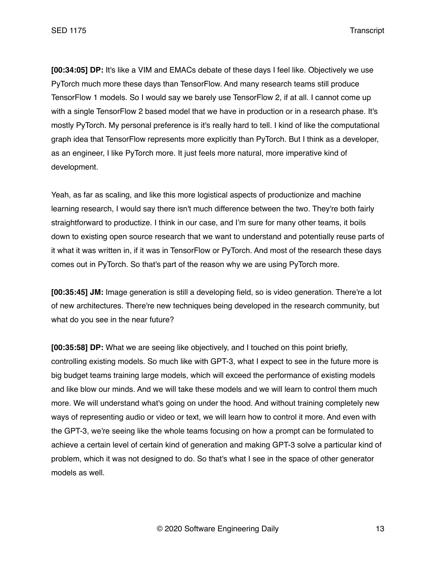**[00:34:05] DP:** It's like a VIM and EMACs debate of these days I feel like. Objectively we use PyTorch much more these days than TensorFlow. And many research teams still produce TensorFlow 1 models. So I would say we barely use TensorFlow 2, if at all. I cannot come up with a single TensorFlow 2 based model that we have in production or in a research phase. It's mostly PyTorch. My personal preference is it's really hard to tell. I kind of like the computational graph idea that TensorFlow represents more explicitly than PyTorch. But I think as a developer, as an engineer, I like PyTorch more. It just feels more natural, more imperative kind of development.

Yeah, as far as scaling, and like this more logistical aspects of productionize and machine learning research, I would say there isn't much difference between the two. They're both fairly straightforward to productize. I think in our case, and I'm sure for many other teams, it boils down to existing open source research that we want to understand and potentially reuse parts of it what it was written in, if it was in TensorFlow or PyTorch. And most of the research these days comes out in PyTorch. So that's part of the reason why we are using PyTorch more.

**[00:35:45] JM:** Image generation is still a developing field, so is video generation. There're a lot of new architectures. There're new techniques being developed in the research community, but what do you see in the near future?

**[00:35:58] DP:** What we are seeing like objectively, and I touched on this point briefly, controlling existing models. So much like with GPT-3, what I expect to see in the future more is big budget teams training large models, which will exceed the performance of existing models and like blow our minds. And we will take these models and we will learn to control them much more. We will understand what's going on under the hood. And without training completely new ways of representing audio or video or text, we will learn how to control it more. And even with the GPT-3, we're seeing like the whole teams focusing on how a prompt can be formulated to achieve a certain level of certain kind of generation and making GPT-3 solve a particular kind of problem, which it was not designed to do. So that's what I see in the space of other generator models as well.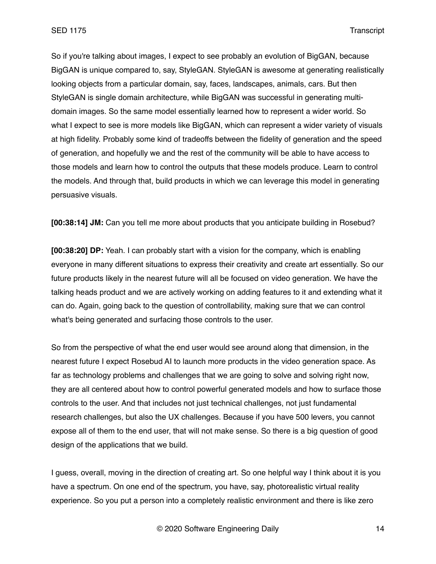So if you're talking about images, I expect to see probably an evolution of BigGAN, because BigGAN is unique compared to, say, StyleGAN. StyleGAN is awesome at generating realistically looking objects from a particular domain, say, faces, landscapes, animals, cars. But then StyleGAN is single domain architecture, while BigGAN was successful in generating multidomain images. So the same model essentially learned how to represent a wider world. So what I expect to see is more models like BigGAN, which can represent a wider variety of visuals at high fidelity. Probably some kind of tradeoffs between the fidelity of generation and the speed of generation, and hopefully we and the rest of the community will be able to have access to those models and learn how to control the outputs that these models produce. Learn to control the models. And through that, build products in which we can leverage this model in generating persuasive visuals.

**[00:38:14] JM:** Can you tell me more about products that you anticipate building in Rosebud?

**[00:38:20] DP:** Yeah. I can probably start with a vision for the company, which is enabling everyone in many different situations to express their creativity and create art essentially. So our future products likely in the nearest future will all be focused on video generation. We have the talking heads product and we are actively working on adding features to it and extending what it can do. Again, going back to the question of controllability, making sure that we can control what's being generated and surfacing those controls to the user.

So from the perspective of what the end user would see around along that dimension, in the nearest future I expect Rosebud AI to launch more products in the video generation space. As far as technology problems and challenges that we are going to solve and solving right now, they are all centered about how to control powerful generated models and how to surface those controls to the user. And that includes not just technical challenges, not just fundamental research challenges, but also the UX challenges. Because if you have 500 levers, you cannot expose all of them to the end user, that will not make sense. So there is a big question of good design of the applications that we build.

I guess, overall, moving in the direction of creating art. So one helpful way I think about it is you have a spectrum. On one end of the spectrum, you have, say, photorealistic virtual reality experience. So you put a person into a completely realistic environment and there is like zero

© 2020 Software Engineering Daily 14